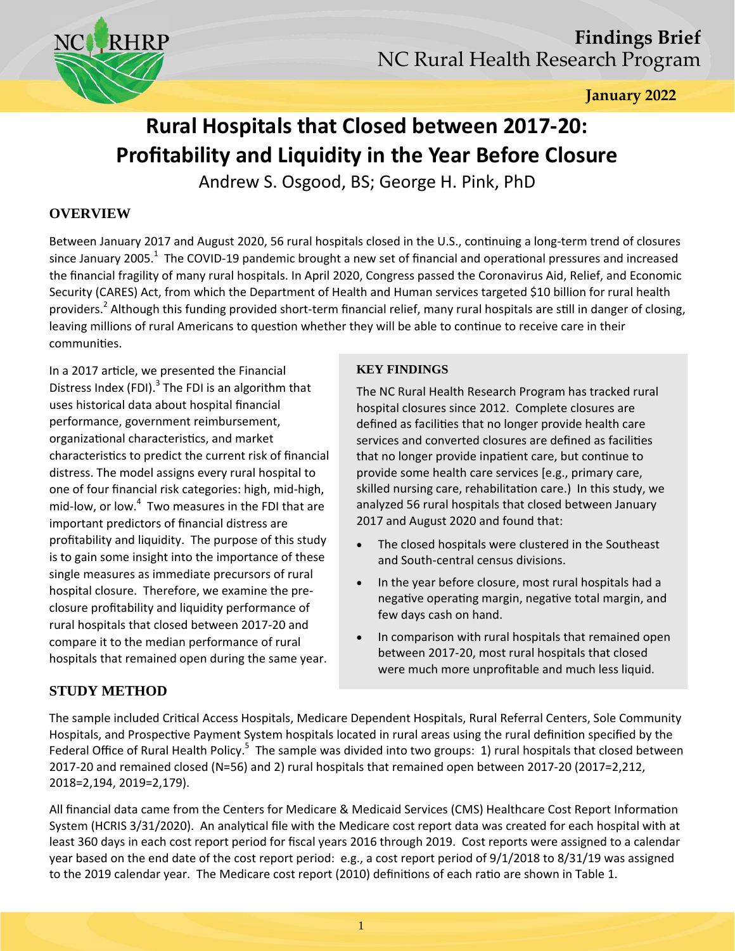

**January 2022** 

# **Rural Hospitals that Closed between 2017‐20: Profitability and Liquidity in the Year Before Closure**

Andrew S. Osgood, BS; George H. Pink, PhD

# **OVERVIEW**

Between January 2017 and August 2020, 56 rural hospitals closed in the U.S., continuing a long-term trend of closures since January 2005.<sup>1</sup> The COVID-19 pandemic brought a new set of financial and operational pressures and increased the financial fragility of many rural hospitals. In April 2020, Congress passed the Coronavirus Aid, Relief, and Economic Security (CARES) Act, from which the Department of Health and Human services targeted \$10 billion for rural health providers.<sup>2</sup> Although this funding provided short-term financial relief, many rural hospitals are still in danger of closing, leaving millions of rural Americans to question whether they will be able to continue to receive care in their communities.

In a 2017 article, we presented the Financial Distress Index (FDI). $3$  The FDI is an algorithm that uses historical data about hospital financial performance, government reimbursement, organizational characteristics, and market characteristics to predict the current risk of financial distress. The model assigns every rural hospital to one of four financial risk categories: high, mid‐high, mid-low, or low. $4\,$  Two measures in the FDI that are important predictors of financial distress are profitability and liquidity. The purpose of this study is to gain some insight into the importance of these single measures as immediate precursors of rural hospital closure. Therefore, we examine the pre‐ closure profitability and liquidity performance of rural hospitals that closed between 2017‐20 and compare it to the median performance of rural hospitals that remained open during the same year.

## **KEY FINDINGS**

The NC Rural Health Research Program has tracked rural hospital closures since 2012. Complete closures are defined as facilities that no longer provide health care services and converted closures are defined as facilities that no longer provide inpatient care, but continue to provide some health care services [e.g., primary care, skilled nursing care, rehabilitation care.) In this study, we analyzed 56 rural hospitals that closed between January 2017 and August 2020 and found that:

- The closed hospitals were clustered in the Southeast and South‐central census divisions.
- In the year before closure, most rural hospitals had a negative operating margin, negative total margin, and few days cash on hand.
- In comparison with rural hospitals that remained open between 2017‐20, most rural hospitals that closed were much more unprofitable and much less liquid.

# **STUDY METHOD**

The sample included Critical Access Hospitals, Medicare Dependent Hospitals, Rural Referral Centers, Sole Community Hospitals, and Prospective Payment System hospitals located in rural areas using the rural definition specified by the Federal Office of Rural Health Policy.<sup>5</sup> The sample was divided into two groups: 1) rural hospitals that closed between 2017‐20 and remained closed (N=56) and 2) rural hospitals that remained open between 2017‐20 (2017=2,212, 2018=2,194, 2019=2,179).

All financial data came from the Centers for Medicare & Medicaid Services (CMS) Healthcare Cost Report Information System (HCRIS 3/31/2020). An analytical file with the Medicare cost report data was created for each hospital with at least 360 days in each cost report period for fiscal years 2016 through 2019. Cost reports were assigned to a calendar year based on the end date of the cost report period: e.g., a cost report period of 9/1/2018 to 8/31/19 was assigned to the 2019 calendar year. The Medicare cost report (2010) definitions of each ratio are shown in Table 1.

1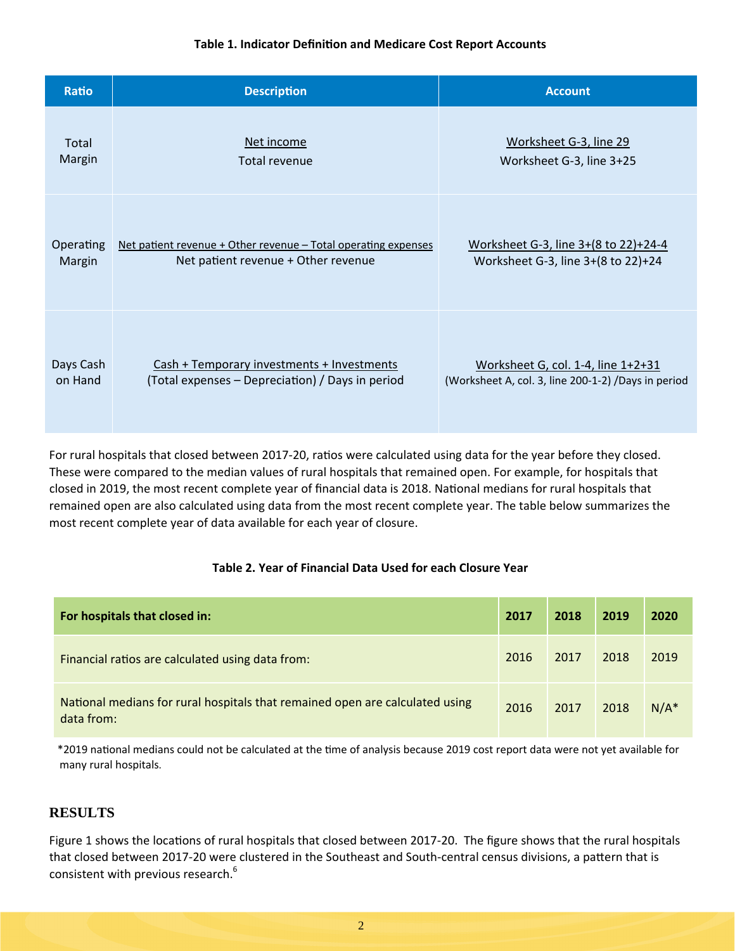#### **Table 1. Indicator DefiniƟon and Medicare Cost Report Accounts**

| Ratio     | <b>Description</b>                                             | <b>Account</b>                                       |  |  |  |
|-----------|----------------------------------------------------------------|------------------------------------------------------|--|--|--|
| Total     | Net income                                                     | Worksheet G-3, line 29                               |  |  |  |
| Margin    | Total revenue                                                  | Worksheet G-3, line 3+25                             |  |  |  |
| Operating | Net patient revenue + Other revenue - Total operating expenses | Worksheet G-3, line 3+(8 to 22)+24-4                 |  |  |  |
| Margin    | Net patient revenue + Other revenue                            | Worksheet G-3, line 3+(8 to 22)+24                   |  |  |  |
| Days Cash | Cash + Temporary investments + Investments                     | Worksheet G, col. 1-4, line 1+2+31                   |  |  |  |
| on Hand   | (Total expenses – Depreciation) / Days in period               | (Worksheet A, col. 3, line 200-1-2) / Days in period |  |  |  |

For rural hospitals that closed between 2017-20, ratios were calculated using data for the year before they closed. These were compared to the median values of rural hospitals that remained open. For example, for hospitals that closed in 2019, the most recent complete year of financial data is 2018. National medians for rural hospitals that remained open are also calculated using data from the most recent complete year. The table below summarizes the most recent complete year of data available for each year of closure.

### **Table 2. Year of Financial Data Used for each Closure Year**

| For hospitals that closed in:                                                              | 2017 | 2018 | 2019 | 2020    |
|--------------------------------------------------------------------------------------------|------|------|------|---------|
| Financial ratios are calculated using data from:                                           | 2016 | 2017 | 2018 | 2019    |
| National medians for rural hospitals that remained open are calculated using<br>data from: | 2016 | 2017 | 2018 | $N/A^*$ |

 \*2019 naƟonal medians could not be calculated at the Ɵme of analysis because <sup>2019</sup> cost report data were not yet available for many rural hospitals.

## **RESULTS**

Figure 1 shows the locations of rural hospitals that closed between 2017-20. The figure shows that the rural hospitals that closed between 2017-20 were clustered in the Southeast and South-central census divisions, a pattern that is consistent with previous research.<sup>6</sup>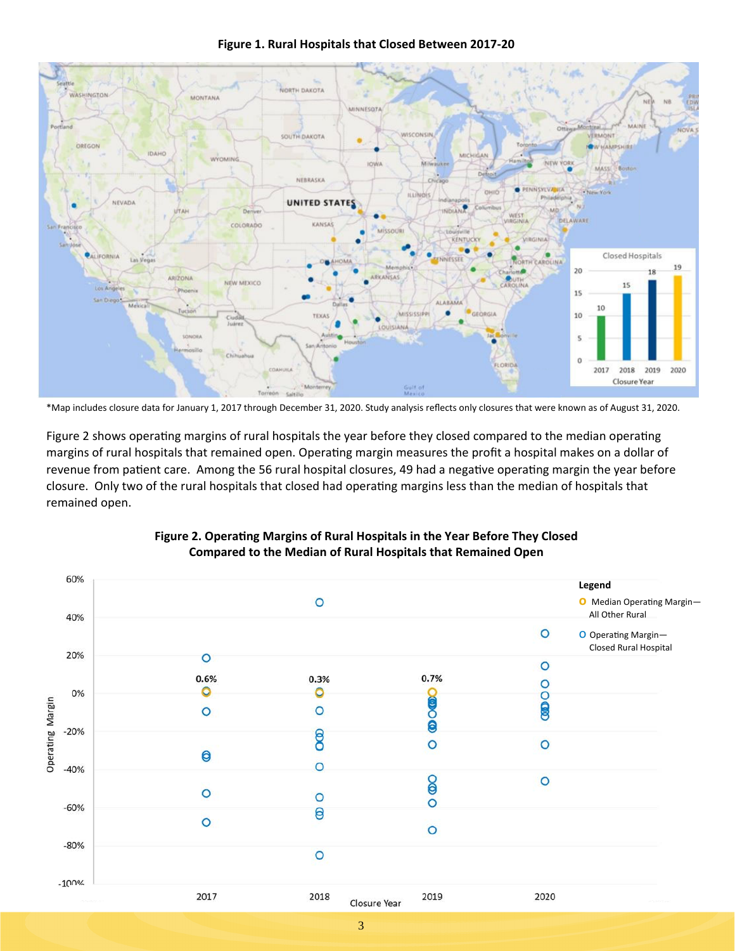

**Figure 1. Rural Hospitals that Closed Between 2017‐20** 

Figure 2 shows operating margins of rural hospitals the year before they closed compared to the median operating margins of rural hospitals that remained open. Operating margin measures the profit a hospital makes on a dollar of revenue from patient care. Among the 56 rural hospital closures, 49 had a negative operating margin the year before closure. Only two of the rural hospitals that closed had operating margins less than the median of hospitals that remained open.



### Figure 2. Operating Margins of Rural Hospitals in the Year Before They Closed **Compared to the Median of Rural Hospitals that Remained Open**

3

<sup>\*</sup>Map includes closure data for January 1, 2017 through December 31, 2020. Study analysis reflects only closures that were known as of August 31, 2020.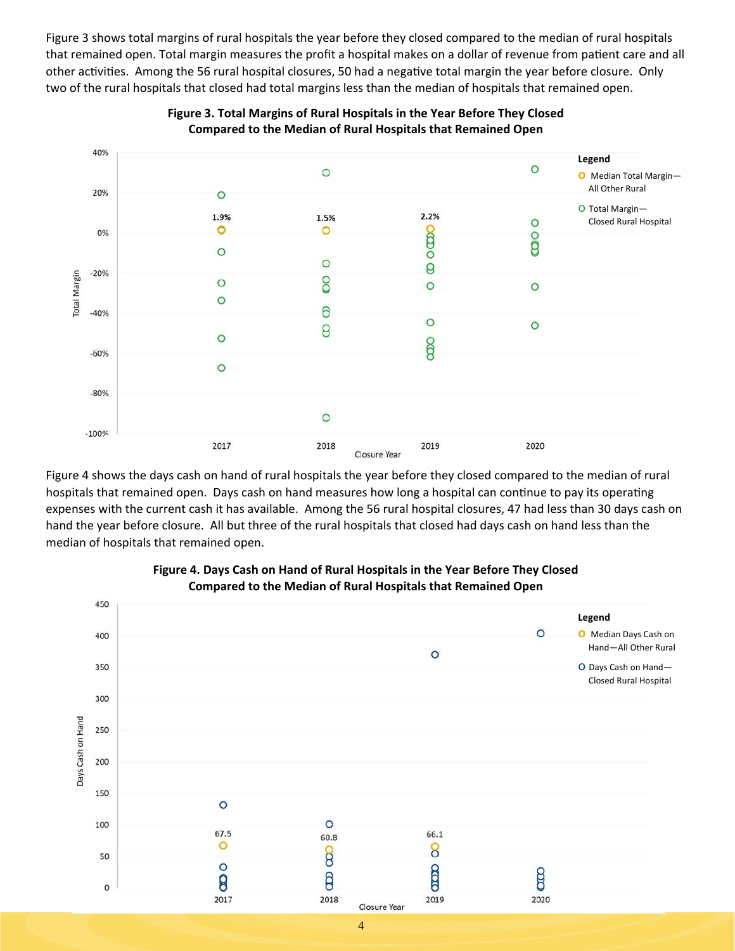Figure 3 shows total margins of rural hospitals the year before they closed compared to the median of rural hospitals that remained open. Total margin measures the profit a hospital makes on a dollar of revenue from patient care and all other activities. Among the 56 rural hospital closures, 50 had a negative total margin the year before closure. Only two of the rural hospitals that closed had total margins less than the median of hospitals that remained open.



**Figure 3. Total Margins of Rural Hospitals in the Year Before They Closed Compared to the Median of Rural Hospitals that Remained Open** 

Figure 4 shows the days cash on hand of rural hospitals the year before they closed compared to the median of rural hospitals that remained open. Days cash on hand measures how long a hospital can continue to pay its operating expenses with the current cash it has available. Among the 56 rural hospital closures, 47 had less than 30 days cash on hand the year before closure. All but three of the rural hospitals that closed had days cash on hand less than the median of hospitals that remained open.



### **Figure 4. Days Cash on Hand of Rural Hospitals in the Year Before They Closed Compared to the Median of Rural Hospitals that Remained Open**